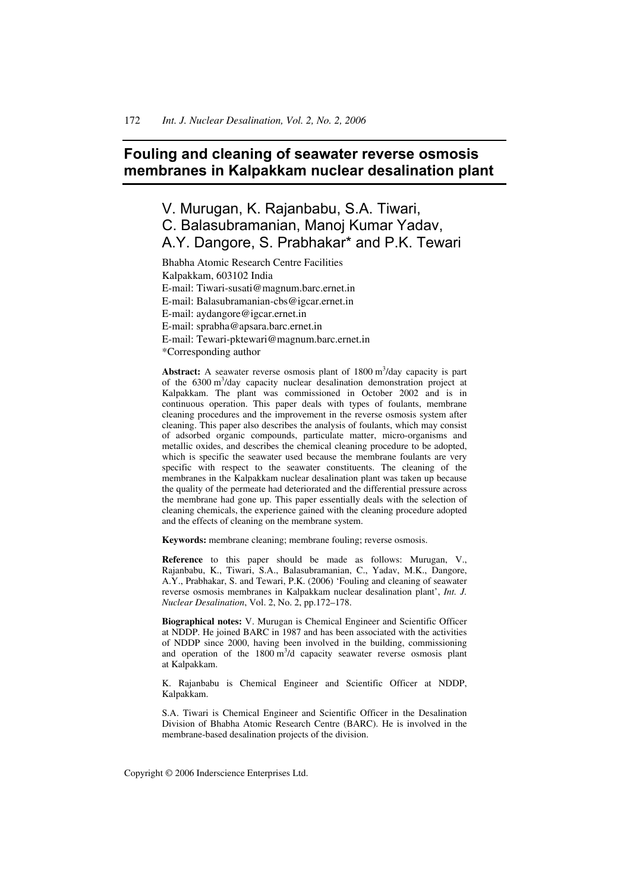# **Fouling and cleaning of seawater reverse osmosis membranes in Kalpakkam nuclear desalination plant**

# V. Murugan, K. Rajanbabu, S.A. Tiwari, C. Balasubramanian, Manoj Kumar Yadav, A.Y. Dangore, S. Prabhakar\* and P.K. Tewari

Bhabha Atomic Research Centre Facilities Kalpakkam, 603102 India E-mail: Tiwari-susati@magnum.barc.ernet.in E-mail: Balasubramanian-cbs@igcar.ernet.in E-mail: aydangore@igcar.ernet.in E-mail: sprabha@apsara.barc.ernet.in E-mail: Tewari-pktewari@magnum.barc.ernet.in \*Corresponding author

Abstract: A seawater reverse osmosis plant of 1800 m<sup>3</sup>/day capacity is part of the 6300 m<sup>3</sup>/day capacity nuclear desalination demonstration project at Kalpakkam. The plant was commissioned in October 2002 and is in continuous operation. This paper deals with types of foulants, membrane cleaning procedures and the improvement in the reverse osmosis system after cleaning. This paper also describes the analysis of foulants, which may consist of adsorbed organic compounds, particulate matter, micro-organisms and metallic oxides, and describes the chemical cleaning procedure to be adopted, which is specific the seawater used because the membrane foulants are very specific with respect to the seawater constituents. The cleaning of the membranes in the Kalpakkam nuclear desalination plant was taken up because the quality of the permeate had deteriorated and the differential pressure across the membrane had gone up. This paper essentially deals with the selection of cleaning chemicals, the experience gained with the cleaning procedure adopted and the effects of cleaning on the membrane system.

**Keywords:** membrane cleaning; membrane fouling; reverse osmosis.

**Reference** to this paper should be made as follows: Murugan, V., Rajanbabu, K., Tiwari, S.A., Balasubramanian, C., Yadav, M.K., Dangore, A.Y., Prabhakar, S. and Tewari, P.K. (2006) 'Fouling and cleaning of seawater reverse osmosis membranes in Kalpakkam nuclear desalination plant', *Int. J. Nuclear Desalination*, Vol. 2, No. 2, pp.172–178.

**Biographical notes:** V. Murugan is Chemical Engineer and Scientific Officer at NDDP. He joined BARC in 1987 and has been associated with the activities of NDDP since 2000, having been involved in the building, commissioning and operation of the  $1800 \text{ m}^3$ /d capacity seawater reverse osmosis plant at Kalpakkam.

K. Rajanbabu is Chemical Engineer and Scientific Officer at NDDP, Kalpakkam.

S.A. Tiwari is Chemical Engineer and Scientific Officer in the Desalination Division of Bhabha Atomic Research Centre (BARC). He is involved in the membrane-based desalination projects of the division.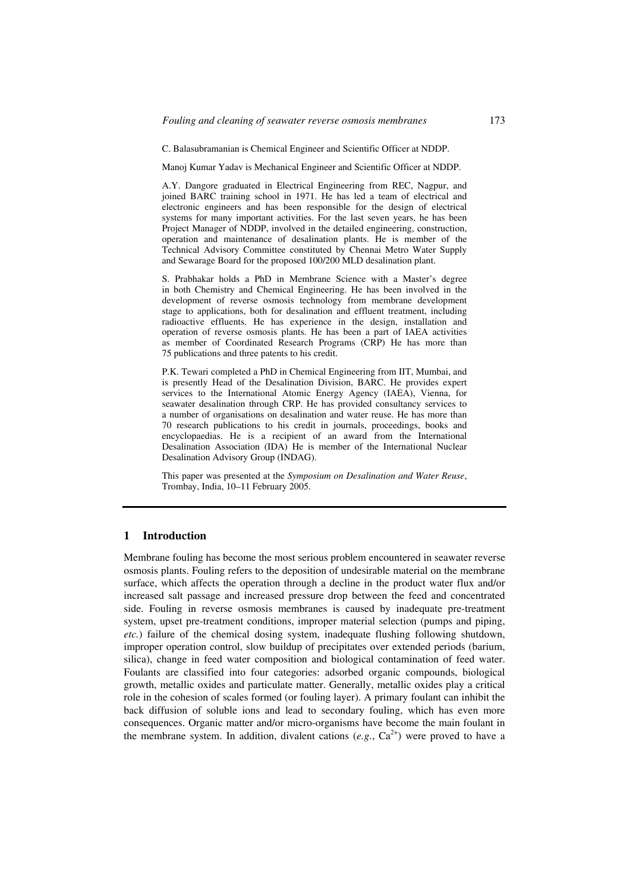C. Balasubramanian is Chemical Engineer and Scientific Officer at NDDP.

Manoj Kumar Yadav is Mechanical Engineer and Scientific Officer at NDDP.

A.Y. Dangore graduated in Electrical Engineering from REC, Nagpur, and joined BARC training school in 1971. He has led a team of electrical and electronic engineers and has been responsible for the design of electrical systems for many important activities. For the last seven years, he has been Project Manager of NDDP, involved in the detailed engineering, construction, operation and maintenance of desalination plants. He is member of the Technical Advisory Committee constituted by Chennai Metro Water Supply and Sewarage Board for the proposed 100/200 MLD desalination plant.

S. Prabhakar holds a PhD in Membrane Science with a Master's degree in both Chemistry and Chemical Engineering. He has been involved in the development of reverse osmosis technology from membrane development stage to applications, both for desalination and effluent treatment, including radioactive effluents. He has experience in the design, installation and operation of reverse osmosis plants. He has been a part of IAEA activities as member of Coordinated Research Programs (CRP) He has more than 75 publications and three patents to his credit.

P.K. Tewari completed a PhD in Chemical Engineering from IIT, Mumbai, and is presently Head of the Desalination Division, BARC. He provides expert services to the International Atomic Energy Agency (IAEA), Vienna, for seawater desalination through CRP. He has provided consultancy services to a number of organisations on desalination and water reuse. He has more than 70 research publications to his credit in journals, proceedings, books and encyclopaedias. He is a recipient of an award from the International Desalination Association (IDA) He is member of the International Nuclear Desalination Advisory Group (INDAG).

This paper was presented at the *Symposium on Desalination and Water Reuse*, Trombay, India, 10–11 February 2005.

### **1 Introduction**

Membrane fouling has become the most serious problem encountered in seawater reverse osmosis plants. Fouling refers to the deposition of undesirable material on the membrane surface, which affects the operation through a decline in the product water flux and/or increased salt passage and increased pressure drop between the feed and concentrated side. Fouling in reverse osmosis membranes is caused by inadequate pre-treatment system, upset pre-treatment conditions, improper material selection (pumps and piping, *etc.*) failure of the chemical dosing system, inadequate flushing following shutdown, improper operation control, slow buildup of precipitates over extended periods (barium, silica), change in feed water composition and biological contamination of feed water. Foulants are classified into four categories: adsorbed organic compounds, biological growth, metallic oxides and particulate matter. Generally, metallic oxides play a critical role in the cohesion of scales formed (or fouling layer). A primary foulant can inhibit the back diffusion of soluble ions and lead to secondary fouling, which has even more consequences. Organic matter and/or micro-organisms have become the main foulant in the membrane system. In addition, divalent cations  $(e.g., Ca<sup>2+</sup>)$  were proved to have a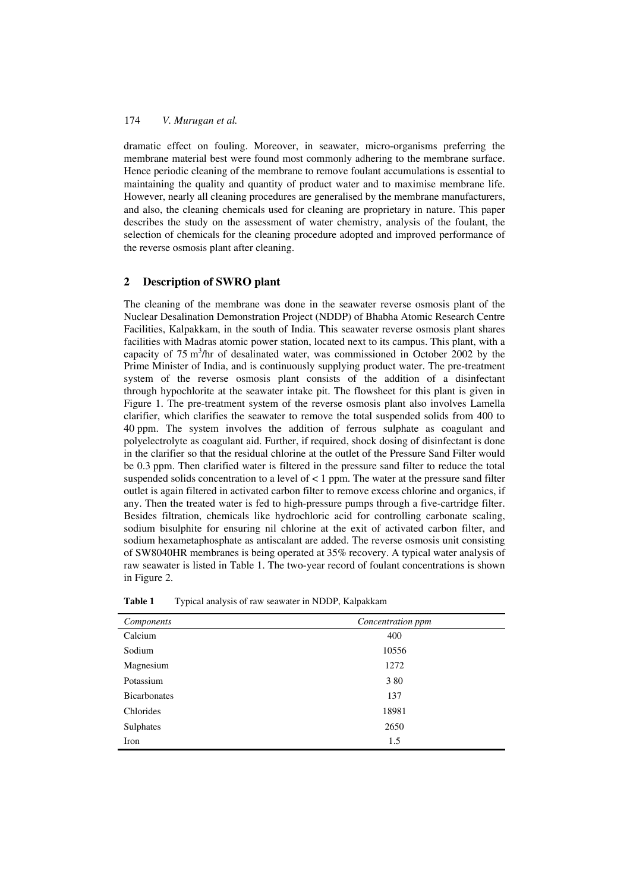## 174 *V. Murugan et al.*

dramatic effect on fouling. Moreover, in seawater, micro-organisms preferring the membrane material best were found most commonly adhering to the membrane surface. Hence periodic cleaning of the membrane to remove foulant accumulations is essential to maintaining the quality and quantity of product water and to maximise membrane life. However, nearly all cleaning procedures are generalised by the membrane manufacturers, and also, the cleaning chemicals used for cleaning are proprietary in nature. This paper describes the study on the assessment of water chemistry, analysis of the foulant, the selection of chemicals for the cleaning procedure adopted and improved performance of the reverse osmosis plant after cleaning.

# **2 Description of SWRO plant**

The cleaning of the membrane was done in the seawater reverse osmosis plant of the Nuclear Desalination Demonstration Project (NDDP) of Bhabha Atomic Research Centre Facilities, Kalpakkam, in the south of India. This seawater reverse osmosis plant shares facilities with Madras atomic power station, located next to its campus. This plant, with a capacity of 75 m<sup>3</sup>/hr of desalinated water, was commissioned in October 2002 by the Prime Minister of India, and is continuously supplying product water. The pre-treatment system of the reverse osmosis plant consists of the addition of a disinfectant through hypochlorite at the seawater intake pit. The flowsheet for this plant is given in Figure 1. The pre-treatment system of the reverse osmosis plant also involves Lamella clarifier, which clarifies the seawater to remove the total suspended solids from 400 to 40 ppm. The system involves the addition of ferrous sulphate as coagulant and polyelectrolyte as coagulant aid. Further, if required, shock dosing of disinfectant is done in the clarifier so that the residual chlorine at the outlet of the Pressure Sand Filter would be 0.3 ppm. Then clarified water is filtered in the pressure sand filter to reduce the total suspended solids concentration to a level of  $\lt 1$  ppm. The water at the pressure sand filter outlet is again filtered in activated carbon filter to remove excess chlorine and organics, if any. Then the treated water is fed to high-pressure pumps through a five-cartridge filter. Besides filtration, chemicals like hydrochloric acid for controlling carbonate scaling, sodium bisulphite for ensuring nil chlorine at the exit of activated carbon filter, and sodium hexametaphosphate as antiscalant are added. The reverse osmosis unit consisting of SW8040HR membranes is being operated at 35% recovery. A typical water analysis of raw seawater is listed in Table 1. The two-year record of foulant concentrations is shown in Figure 2.

| Components          | Concentration ppm |  |  |
|---------------------|-------------------|--|--|
| Calcium             | 400               |  |  |
| Sodium              | 10556             |  |  |
| Magnesium           | 1272              |  |  |
| Potassium           | 380               |  |  |
| <b>Bicarbonates</b> | 137               |  |  |
| Chlorides           | 18981             |  |  |
| Sulphates           | 2650              |  |  |
| Iron                | 1.5               |  |  |

**Table 1** Typical analysis of raw seawater in NDDP, Kalpakkam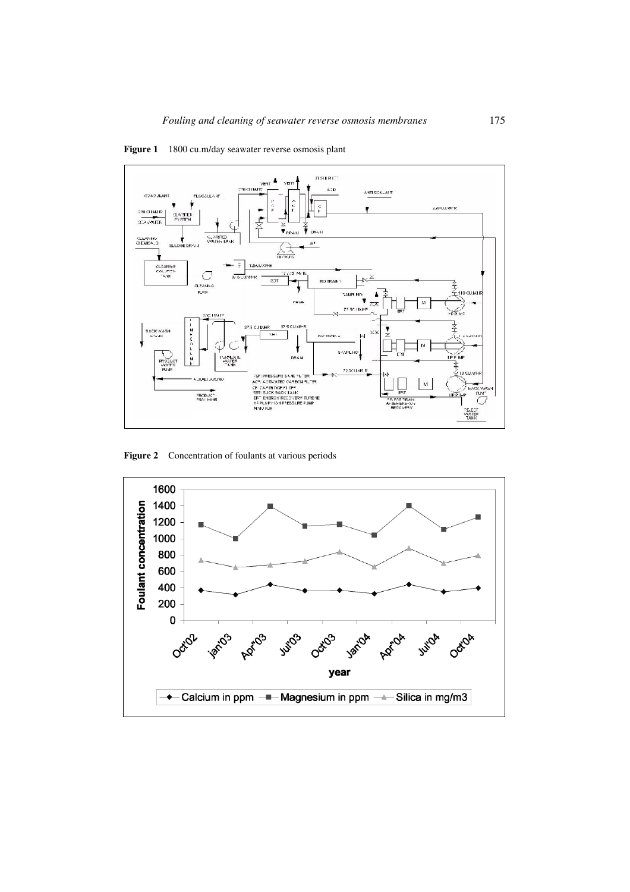



**Figure 2** Concentration of foulants at various periods

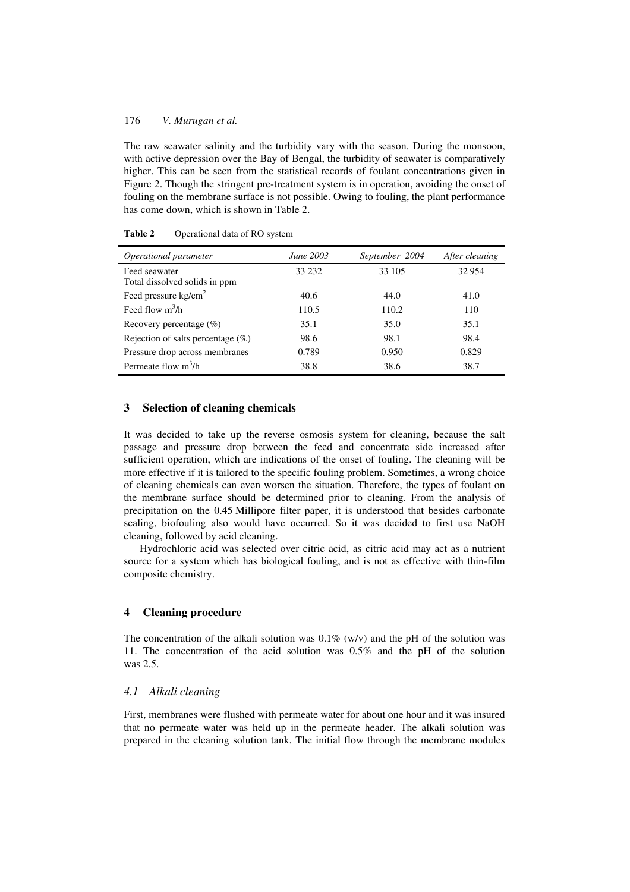## 176 *V. Murugan et al.*

The raw seawater salinity and the turbidity vary with the season. During the monsoon, with active depression over the Bay of Bengal, the turbidity of seawater is comparatively higher. This can be seen from the statistical records of foulant concentrations given in Figure 2. Though the stringent pre-treatment system is in operation, avoiding the onset of fouling on the membrane surface is not possible. Owing to fouling, the plant performance has come down, which is shown in Table 2.

| Operational parameter                          | <i>June</i> 2003 | September 2004 | After cleaning |
|------------------------------------------------|------------------|----------------|----------------|
| Feed seawater<br>Total dissolved solids in ppm | 33 232           | 33 105         | 32 954         |
| Feed pressure $kg/cm2$                         | 40.6             | 44.0           | 41.0           |
| Feed flow $m^3/h$                              | 110.5            | 110.2          | 110            |
| Recovery percentage $(\%)$                     | 35.1             | 35.0           | 35.1           |
| Rejection of salts percentage $(\%)$           | 98.6             | 98.1           | 98.4           |
| Pressure drop across membranes                 | 0.789            | 0.950          | 0.829          |
| Permeate flow $m^3/h$                          | 38.8             | 38.6           | 38.7           |

**Table 2** Operational data of RO system

#### **3 Selection of cleaning chemicals**

It was decided to take up the reverse osmosis system for cleaning, because the salt passage and pressure drop between the feed and concentrate side increased after sufficient operation, which are indications of the onset of fouling. The cleaning will be more effective if it is tailored to the specific fouling problem. Sometimes, a wrong choice of cleaning chemicals can even worsen the situation. Therefore, the types of foulant on the membrane surface should be determined prior to cleaning. From the analysis of precipitation on the 0.45 Millipore filter paper, it is understood that besides carbonate scaling, biofouling also would have occurred. So it was decided to first use NaOH cleaning, followed by acid cleaning.

Hydrochloric acid was selected over citric acid, as citric acid may act as a nutrient source for a system which has biological fouling, and is not as effective with thin-film composite chemistry.

# **4 Cleaning procedure**

The concentration of the alkali solution was  $0.1\%$  (w/v) and the pH of the solution was 11. The concentration of the acid solution was 0.5% and the pH of the solution was 2.5.

#### *4.1 Alkali cleaning*

First, membranes were flushed with permeate water for about one hour and it was insured that no permeate water was held up in the permeate header. The alkali solution was prepared in the cleaning solution tank. The initial flow through the membrane modules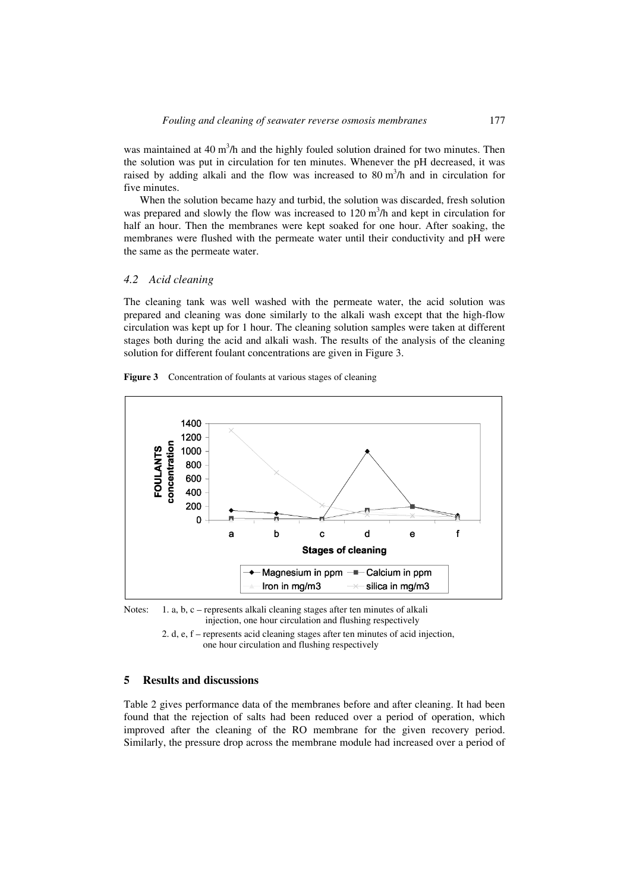was maintained at  $40 \text{ m}^3$ /h and the highly fouled solution drained for two minutes. Then the solution was put in circulation for ten minutes. Whenever the pH decreased, it was raised by adding alkali and the flow was increased to  $80 \text{ m}^3/\text{h}$  and in circulation for five minutes.

When the solution became hazy and turbid, the solution was discarded, fresh solution was prepared and slowly the flow was increased to  $120 \text{ m}^3/\text{h}$  and kept in circulation for half an hour. Then the membranes were kept soaked for one hour. After soaking, the membranes were flushed with the permeate water until their conductivity and pH were the same as the permeate water.

#### *4.2 Acid cleaning*

The cleaning tank was well washed with the permeate water, the acid solution was prepared and cleaning was done similarly to the alkali wash except that the high-flow circulation was kept up for 1 hour. The cleaning solution samples were taken at different stages both during the acid and alkali wash. The results of the analysis of the cleaning solution for different foulant concentrations are given in Figure 3.





Notes: 1. a, b, c – represents alkali cleaning stages after ten minutes of alkali injection, one hour circulation and flushing respectively

 2. d, e, f – represents acid cleaning stages after ten minutes of acid injection, one hour circulation and flushing respectively

### **5 Results and discussions**

Table 2 gives performance data of the membranes before and after cleaning. It had been found that the rejection of salts had been reduced over a period of operation, which improved after the cleaning of the RO membrane for the given recovery period. Similarly, the pressure drop across the membrane module had increased over a period of